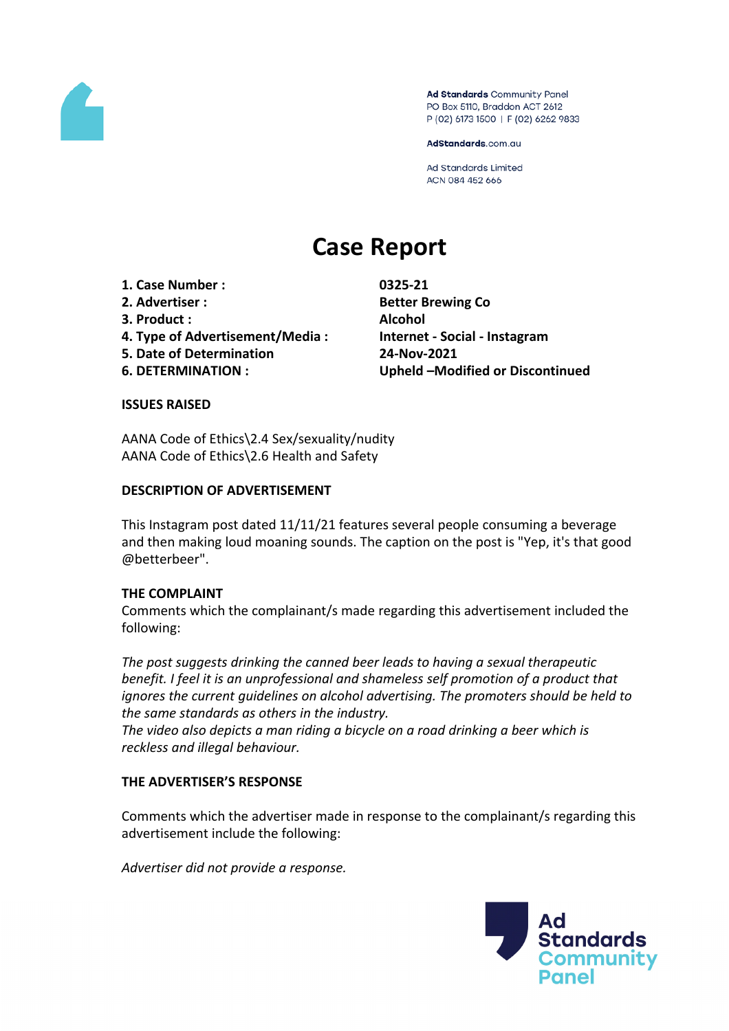

Ad Standards Community Panel PO Box 5110, Braddon ACT 2612 P (02) 6173 1500 | F (02) 6262 9833

AdStandards.com.au

Ad Standards Limited ACN 084 452 666

# **Case Report**

- **1. Case Number : 0325-21**
- 
- **3. Product : Alcohol**
- **4. Type of Advertisement/Media : Internet - Social - Instagram**
- **5. Date of Determination 24-Nov-2021**
- 

**2. Advertiser : Better Brewing Co 6. DETERMINATION : Upheld –Modified or Discontinued**

#### **ISSUES RAISED**

AANA Code of Ethics\2.4 Sex/sexuality/nudity AANA Code of Ethics\2.6 Health and Safety

## **DESCRIPTION OF ADVERTISEMENT**

This Instagram post dated 11/11/21 features several people consuming a beverage and then making loud moaning sounds. The caption on the post is "Yep, it's that good @betterbeer".

# **THE COMPLAINT**

Comments which the complainant/s made regarding this advertisement included the following:

*The post suggests drinking the canned beer leads to having a sexual therapeutic benefit. I feel it is an unprofessional and shameless self promotion of a product that ignores the current guidelines on alcohol advertising. The promoters should be held to the same standards as others in the industry.*

*The video also depicts a man riding a bicycle on a road drinking a beer which is reckless and illegal behaviour.*

# **THE ADVERTISER'S RESPONSE**

Comments which the advertiser made in response to the complainant/s regarding this advertisement include the following:

*Advertiser did not provide a response.*

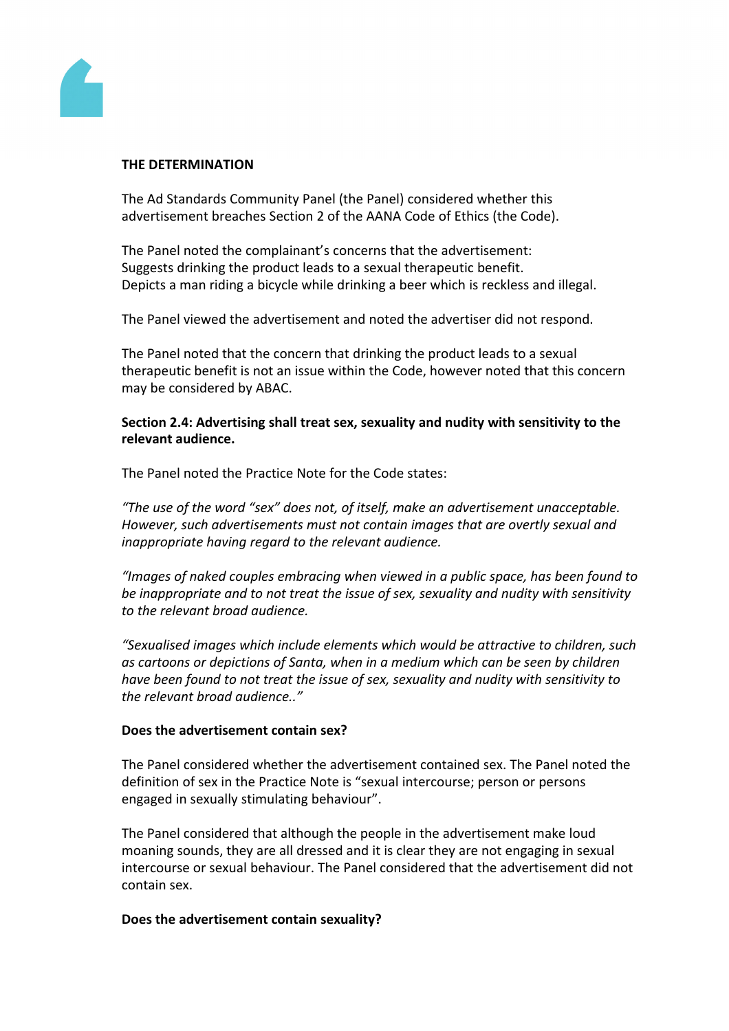

#### **THE DETERMINATION**

The Ad Standards Community Panel (the Panel) considered whether this advertisement breaches Section 2 of the AANA Code of Ethics (the Code).

The Panel noted the complainant's concerns that the advertisement: Suggests drinking the product leads to a sexual therapeutic benefit. Depicts a man riding a bicycle while drinking a beer which is reckless and illegal.

The Panel viewed the advertisement and noted the advertiser did not respond.

The Panel noted that the concern that drinking the product leads to a sexual therapeutic benefit is not an issue within the Code, however noted that this concern may be considered by ABAC.

**Section 2.4: Advertising shall treat sex, sexuality and nudity with sensitivity to the relevant audience.**

The Panel noted the Practice Note for the Code states:

*"The use of the word "sex" does not, of itself, make an advertisement unacceptable. However, such advertisements must not contain images that are overtly sexual and inappropriate having regard to the relevant audience.*

*"Images of naked couples embracing when viewed in a public space, has been found to be inappropriate and to not treat the issue of sex, sexuality and nudity with sensitivity to the relevant broad audience.*

*"Sexualised images which include elements which would be attractive to children, such as cartoons or depictions of Santa, when in a medium which can be seen by children have been found to not treat the issue of sex, sexuality and nudity with sensitivity to the relevant broad audience.."*

#### **Does the advertisement contain sex?**

The Panel considered whether the advertisement contained sex. The Panel noted the definition of sex in the Practice Note is "sexual intercourse; person or persons engaged in sexually stimulating behaviour".

The Panel considered that although the people in the advertisement make loud moaning sounds, they are all dressed and it is clear they are not engaging in sexual intercourse or sexual behaviour. The Panel considered that the advertisement did not contain sex.

#### **Does the advertisement contain sexuality?**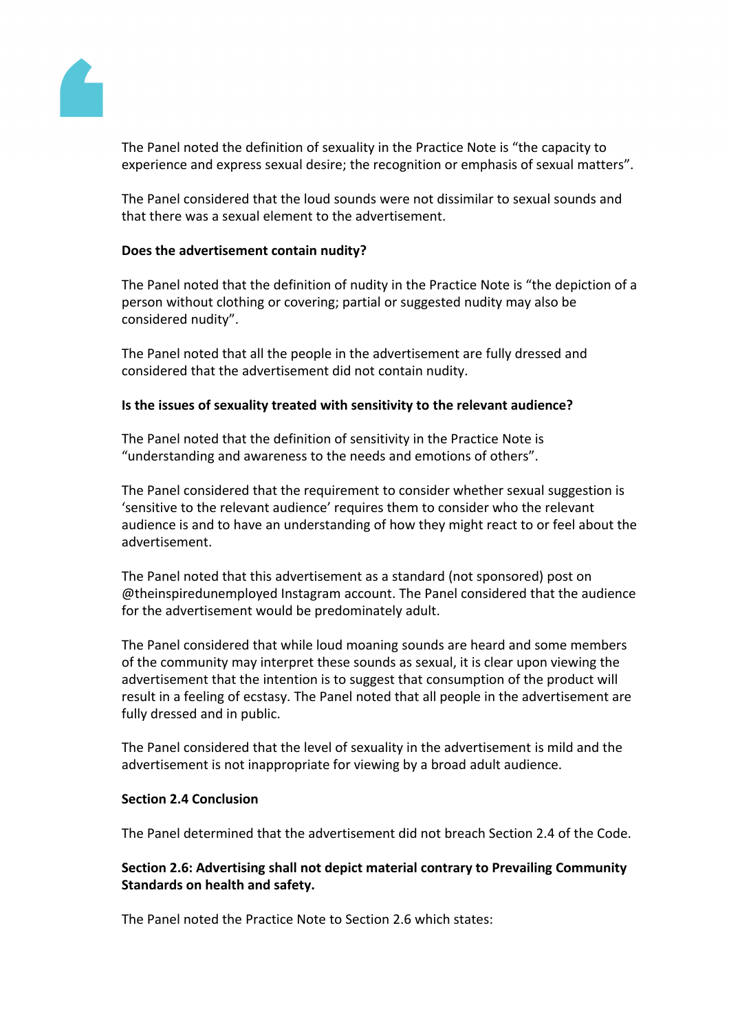

The Panel noted the definition of sexuality in the Practice Note is "the capacity to experience and express sexual desire; the recognition or emphasis of sexual matters".

The Panel considered that the loud sounds were not dissimilar to sexual sounds and that there was a sexual element to the advertisement.

#### **Does the advertisement contain nudity?**

The Panel noted that the definition of nudity in the Practice Note is "the depiction of a person without clothing or covering; partial or suggested nudity may also be considered nudity".

The Panel noted that all the people in the advertisement are fully dressed and considered that the advertisement did not contain nudity.

#### **Is the issues of sexuality treated with sensitivity to the relevant audience?**

The Panel noted that the definition of sensitivity in the Practice Note is "understanding and awareness to the needs and emotions of others".

The Panel considered that the requirement to consider whether sexual suggestion is 'sensitive to the relevant audience' requires them to consider who the relevant audience is and to have an understanding of how they might react to or feel about the advertisement.

The Panel noted that this advertisement as a standard (not sponsored) post on @theinspiredunemployed Instagram account. The Panel considered that the audience for the advertisement would be predominately adult.

The Panel considered that while loud moaning sounds are heard and some members of the community may interpret these sounds as sexual, it is clear upon viewing the advertisement that the intention is to suggest that consumption of the product will result in a feeling of ecstasy. The Panel noted that all people in the advertisement are fully dressed and in public.

The Panel considered that the level of sexuality in the advertisement is mild and the advertisement is not inappropriate for viewing by a broad adult audience.

#### **Section 2.4 Conclusion**

The Panel determined that the advertisement did not breach Section 2.4 of the Code.

## **Section 2.6: Advertising shall not depict material contrary to Prevailing Community Standards on health and safety.**

The Panel noted the Practice Note to Section 2.6 which states: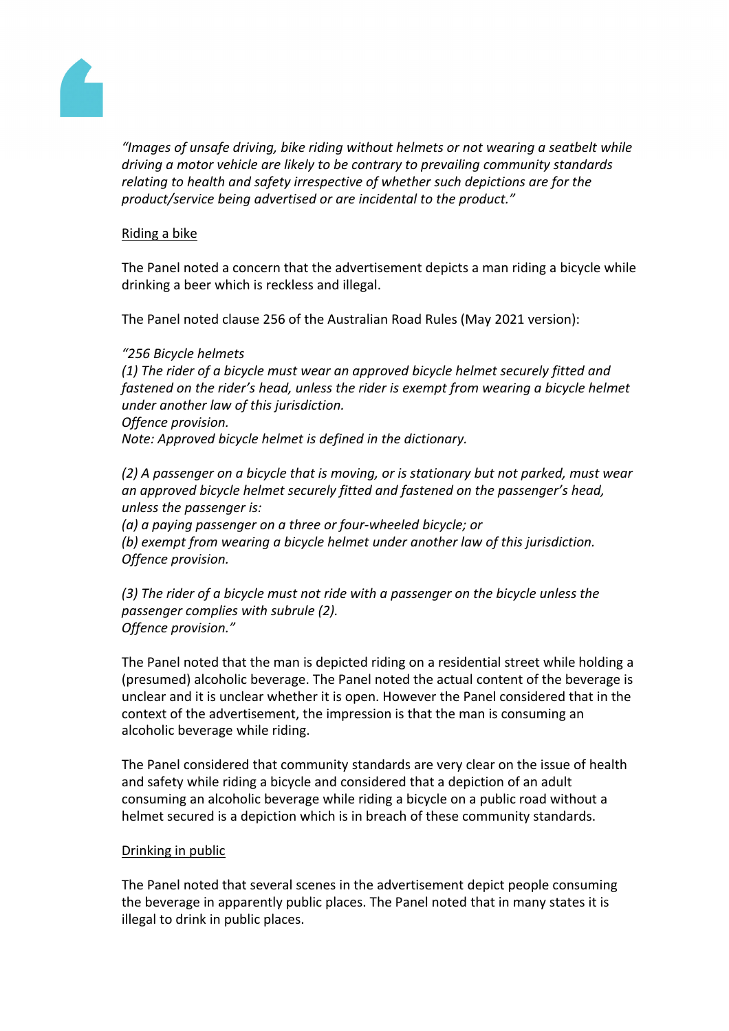

*"Images of unsafe driving, bike riding without helmets or not wearing a seatbelt while driving a motor vehicle are likely to be contrary to prevailing community standards relating to health and safety irrespective of whether such depictions are for the product/service being advertised or are incidental to the product."*

## Riding a bike

The Panel noted a concern that the advertisement depicts a man riding a bicycle while drinking a beer which is reckless and illegal.

The Panel noted clause 256 of the Australian Road Rules (May 2021 version):

#### *"256 Bicycle helmets*

*(1) The rider of a bicycle must wear an approved bicycle helmet securely fitted and fastened on the rider's head, unless the rider is exempt from wearing a bicycle helmet under another law of this jurisdiction. Offence provision.*

*Note: Approved bicycle helmet is defined in the dictionary.*

*(2) A passenger on a bicycle that is moving, or is stationary but not parked, must wear an approved bicycle helmet securely fitted and fastened on the passenger's head, unless the passenger is:*

*(a) a paying passenger on a three or four-wheeled bicycle; or (b) exempt from wearing a bicycle helmet under another law of this jurisdiction. Offence provision.*

*(3) The rider of a bicycle must not ride with a passenger on the bicycle unless the passenger complies with subrule (2). Offence provision."*

The Panel noted that the man is depicted riding on a residential street while holding a (presumed) alcoholic beverage. The Panel noted the actual content of the beverage is unclear and it is unclear whether it is open. However the Panel considered that in the context of the advertisement, the impression is that the man is consuming an alcoholic beverage while riding.

The Panel considered that community standards are very clear on the issue of health and safety while riding a bicycle and considered that a depiction of an adult consuming an alcoholic beverage while riding a bicycle on a public road without a helmet secured is a depiction which is in breach of these community standards.

#### Drinking in public

The Panel noted that several scenes in the advertisement depict people consuming the beverage in apparently public places. The Panel noted that in many states it is illegal to drink in public places.